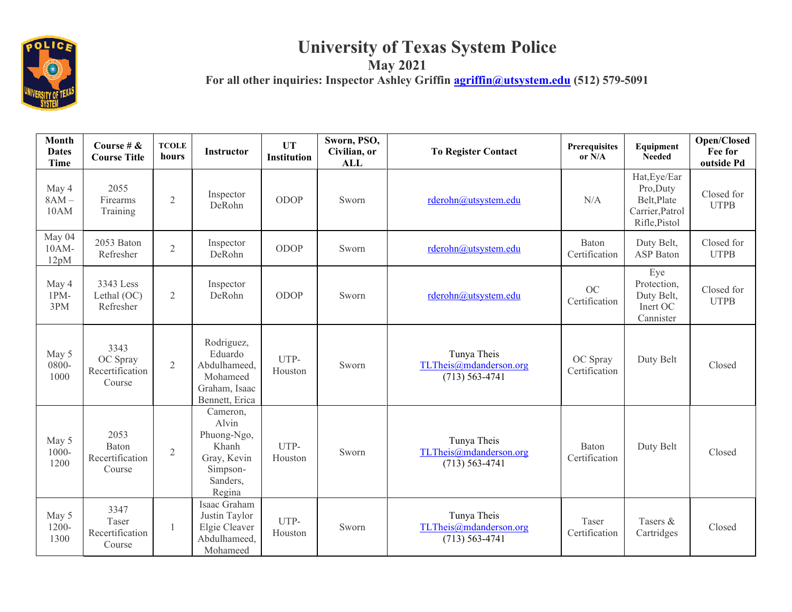

## **University of Texas System Police May 2021 For all other inquiries: Inspector Ashley Griffin [agriffin@utsystem.edu](mailto:agriffin@utsystem.edu) (512) 579-5091**

| Month<br><b>Dates</b><br>Time | Course # $\&$<br><b>Course Title</b>          | <b>TCOLE</b><br>hours | <b>Instructor</b>                                                                          | <b>UT</b><br><b>Institution</b> | Sworn, PSO,<br>Civilian, or<br><b>ALL</b> | <b>To Register Contact</b>                                  | Prerequisites<br>or $N/A$ | Equipment<br><b>Needed</b>                                                   | Open/Closed<br>Fee for<br>outside Pd |
|-------------------------------|-----------------------------------------------|-----------------------|--------------------------------------------------------------------------------------------|---------------------------------|-------------------------------------------|-------------------------------------------------------------|---------------------------|------------------------------------------------------------------------------|--------------------------------------|
| May 4<br>$8AM -$<br>10AM      | 2055<br>Firearms<br>Training                  | $\overline{2}$        | Inspector<br>DeRohn                                                                        | ODOP                            | Sworn                                     | rderohn@utsystem.edu                                        | N/A                       | Hat, Eye/Ear<br>Pro, Duty<br>Belt, Plate<br>Carrier, Patrol<br>Rifle, Pistol | Closed for<br><b>UTPB</b>            |
| May 04<br>$10AM-$<br>12pM     | 2053 Baton<br>Refresher                       | $\overline{2}$        | Inspector<br>DeRohn                                                                        | ODOP                            | Sworn                                     | rderohn@utsystem.edu                                        | Baton<br>Certification    | Duty Belt,<br><b>ASP</b> Baton                                               | Closed for<br><b>UTPB</b>            |
| May 4<br>$1PM-$<br>3PM        | 3343 Less<br>Lethal (OC)<br>Refresher         | $\overline{2}$        | Inspector<br>DeRohn                                                                        | ODOP                            | Sworn                                     | rderohn@utsystem.edu                                        | OC<br>Certification       | Eye<br>Protection,<br>Duty Belt,<br>Inert OC<br>Cannister                    | Closed for<br><b>UTPB</b>            |
| May 5<br>0800-<br>1000        | 3343<br>OC Spray<br>Recertification<br>Course | $\overline{2}$        | Rodriguez,<br>Eduardo<br>Abdulhameed,<br>Mohameed<br>Graham, Isaac<br>Bennett, Erica       | UTP-<br>Houston                 | Sworn                                     | Tunya Theis<br>TLTheis@mdanderson.org<br>$(713) 563 - 4741$ | OC Spray<br>Certification | Duty Belt                                                                    | Closed                               |
| May 5<br>$1000 -$<br>1200     | 2053<br>Baton<br>Recertification<br>Course    | $\overline{2}$        | Cameron,<br>Alvin<br>Phuong-Ngo,<br>Khanh<br>Gray, Kevin<br>Simpson-<br>Sanders,<br>Regina | UTP-<br>Houston                 | Sworn                                     | Tunya Theis<br>TLTheis@mdanderson.org<br>$(713) 563 - 4741$ | Baton<br>Certification    | Duty Belt                                                                    | Closed                               |
| May 5<br>1200-<br>1300        | 3347<br>Taser<br>Recertification<br>Course    | $\mathbf{1}$          | Isaac Graham<br>Justin Taylor<br>Elgie Cleaver<br>Abdulhameed,<br>Mohameed                 | UTP-<br>Houston                 | Sworn                                     | Tunya Theis<br>TLTheis@mdanderson.org<br>$(713) 563 - 4741$ | Taser<br>Certification    | Tasers &<br>Cartridges                                                       | Closed                               |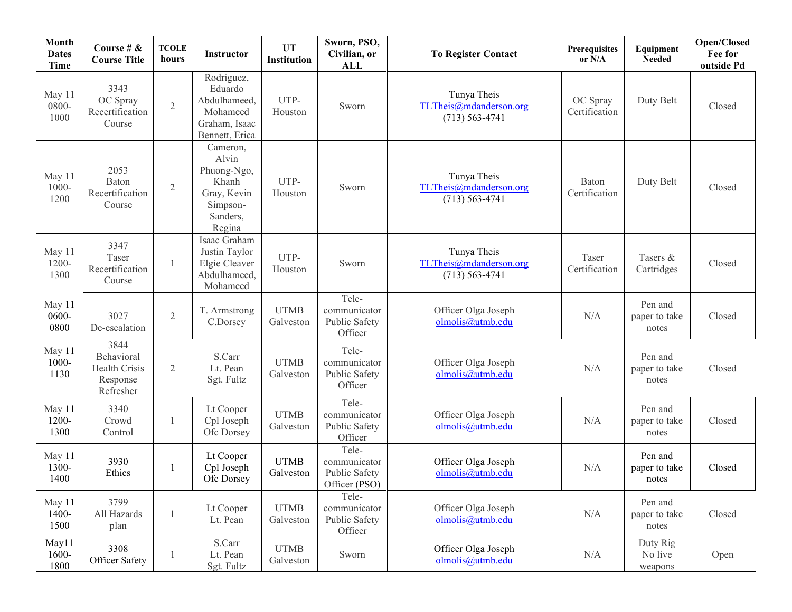| Month<br><b>Dates</b><br><b>Time</b> | Course # $\&$<br><b>Course Title</b>                         | <b>TCOLE</b><br>hours | <b>Instructor</b>                                                                          | <b>UT</b><br>Institution | Sworn, PSO,<br>Civilian, or<br><b>ALL</b>               | <b>To Register Contact</b>                                  | <b>Prerequisites</b><br>or N/A | Equipment<br><b>Needed</b>        | Open/Closed<br>Fee for<br>outside Pd |
|--------------------------------------|--------------------------------------------------------------|-----------------------|--------------------------------------------------------------------------------------------|--------------------------|---------------------------------------------------------|-------------------------------------------------------------|--------------------------------|-----------------------------------|--------------------------------------|
| May 11<br>0800-<br>1000              | 3343<br>OC Spray<br>Recertification<br>Course                | $\overline{2}$        | Rodriguez,<br>Eduardo<br>Abdulhameed,<br>Mohameed<br>Graham, Isaac<br>Bennett, Erica       | UTP-<br>Houston          | Sworn                                                   | Tunya Theis<br>TLTheis@mdanderson.org<br>$(713) 563 - 4741$ | OC Spray<br>Certification      | Duty Belt                         | Closed                               |
| May 11<br>$1000 -$<br>1200           | 2053<br>Baton<br>Recertification<br>Course                   | $\mathfrak{2}$        | Cameron,<br>Alvin<br>Phuong-Ngo,<br>Khanh<br>Gray, Kevin<br>Simpson-<br>Sanders,<br>Regina | UTP-<br>Houston          | Sworn                                                   | Tunya Theis<br>TLTheis@mdanderson.org<br>$(713) 563 - 4741$ | Baton<br>Certification         | Duty Belt                         | Closed                               |
| May 11<br>1200-<br>1300              | 3347<br>Taser<br>Recertification<br>Course                   | $\mathbf{1}$          | Isaac Graham<br>Justin Taylor<br>Elgie Cleaver<br>Abdulhameed,<br>Mohameed                 | UTP-<br>Houston          | Sworn                                                   | Tunya Theis<br>TLTheis@mdanderson.org<br>$(713) 563 - 4741$ | Taser<br>Certification         | Tasers &<br>Cartridges            | Closed                               |
| May 11<br>0600-<br>0800              | 3027<br>De-escalation                                        | $\sqrt{2}$            | T. Armstrong<br>C.Dorsey                                                                   | <b>UTMB</b><br>Galveston | Tele-<br>communicator<br>Public Safety<br>Officer       | Officer Olga Joseph<br>olmolis@utmb.edu                     | N/A                            | Pen and<br>paper to take<br>notes | Closed                               |
| May 11<br>1000-<br>1130              | 3844<br>Behavioral<br>Health Crisis<br>Response<br>Refresher | $\mathfrak{2}$        | S.Carr<br>Lt. Pean<br>Sgt. Fultz                                                           | <b>UTMB</b><br>Galveston | Tele-<br>communicator<br>Public Safety<br>Officer       | Officer Olga Joseph<br>olmolis@utmb.edu                     | N/A                            | Pen and<br>paper to take<br>notes | Closed                               |
| May 11<br>1200-<br>1300              | 3340<br>Crowd<br>Control                                     | 1                     | Lt Cooper<br>Cpl Joseph<br>Ofc Dorsey                                                      | <b>UTMB</b><br>Galveston | Tele-<br>communicator<br>Public Safety<br>Officer       | Officer Olga Joseph<br>olmolis@utmb.edu                     | N/A                            | Pen and<br>paper to take<br>notes | Closed                               |
| May 11<br>1300-<br>1400              | 3930<br>Ethics                                               | 1                     | Lt Cooper<br>Cpl Joseph<br>Ofc Dorsey                                                      | <b>UTMB</b><br>Galveston | Tele-<br>communicator<br>Public Safety<br>Officer (PSO) | Officer Olga Joseph<br>olmolis@utmb.edu                     | N/A                            | Pen and<br>paper to take<br>notes | Closed                               |
| May 11<br>1400-<br>1500              | 3799<br>All Hazards<br>plan                                  | $\mathbf{1}$          | Lt Cooper<br>Lt. Pean                                                                      | <b>UTMB</b><br>Galveston | Tele-<br>communicator<br>Public Safety<br>Officer       | Officer Olga Joseph<br>olmolis@utmb.edu                     | $\rm N/A$                      | Pen and<br>paper to take<br>notes | Closed                               |
| May11<br>1600-<br>1800               | 3308<br>Officer Safety                                       | -1                    | S.Carr<br>Lt. Pean<br>Sgt. Fultz                                                           | <b>UTMB</b><br>Galveston | Sworn                                                   | Officer Olga Joseph<br>olmolis@utmb.edu                     | N/A                            | Duty Rig<br>No live<br>weapons    | Open                                 |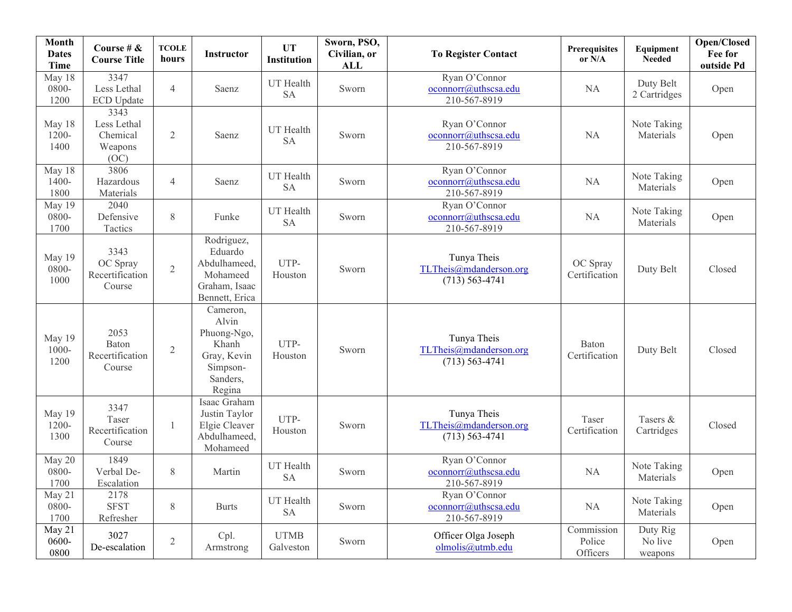| <b>Month</b><br><b>Dates</b><br>Time | Course # $\&$<br><b>Course Title</b>               | <b>TCOLE</b><br>hours | Instructor                                                                                 | <b>UT</b><br><b>Institution</b> | Sworn, PSO,<br>Civilian, or<br>ALL | <b>To Register Contact</b>                                  | Prerequisites<br>or N/A          | Equipment<br><b>Needed</b>     | Open/Closed<br>Fee for<br>outside Pd |
|--------------------------------------|----------------------------------------------------|-----------------------|--------------------------------------------------------------------------------------------|---------------------------------|------------------------------------|-------------------------------------------------------------|----------------------------------|--------------------------------|--------------------------------------|
| May 18<br>0800-<br>1200              | 3347<br>Less Lethal<br><b>ECD Update</b>           | $\overline{4}$        | Saenz                                                                                      | UT Health<br><b>SA</b>          | Sworn                              | Ryan O'Connor<br>oconnorr@uthscsa.edu<br>210-567-8919       | NA.                              | Duty Belt<br>2 Cartridges      | Open                                 |
| May 18<br>1200-<br>1400              | 3343<br>Less Lethal<br>Chemical<br>Weapons<br>(OC) | $\mathbf{2}$          | Saenz                                                                                      | UT Health<br><b>SA</b>          | Sworn                              | Ryan O'Connor<br>oconnorr@uthscsa.edu<br>210-567-8919       | <b>NA</b>                        | Note Taking<br>Materials       | Open                                 |
| May 18<br>$1400 -$<br>1800           | 3806<br>Hazardous<br>Materials                     | $\overline{4}$        | Saenz                                                                                      | UT Health<br><b>SA</b>          | Sworn                              | Ryan O'Connor<br>oconnorr@uthscsa.edu<br>210-567-8919       | NA                               | Note Taking<br>Materials       | Open                                 |
| May 19<br>0800-<br>1700              | 2040<br>Defensive<br>Tactics                       | $8\,$                 | Funke                                                                                      | UT Health<br><b>SA</b>          | Sworn                              | Ryan O'Connor<br>oconnorr@uthscsa.edu<br>210-567-8919       | NA                               | Note Taking<br>Materials       | Open                                 |
| May 19<br>0800-<br>1000              | 3343<br>OC Spray<br>Recertification<br>Course      | $\overline{2}$        | Rodriguez,<br>Eduardo<br>Abdulhameed,<br>Mohameed<br>Graham, Isaac<br>Bennett, Erica       | UTP-<br>Houston                 | Sworn                              | Tunya Theis<br>TLTheis@mdanderson.org<br>$(713) 563 - 4741$ | OC Spray<br>Certification        | Duty Belt                      | Closed                               |
| May 19<br>$1000 -$<br>1200           | 2053<br>Baton<br>Recertification<br>Course         | $\overline{2}$        | Cameron,<br>Alvin<br>Phuong-Ngo,<br>Khanh<br>Gray, Kevin<br>Simpson-<br>Sanders,<br>Regina | UTP-<br>Houston                 | Sworn                              | Tunya Theis<br>TLTheis@mdanderson.org<br>$(713) 563 - 4741$ | Baton<br>Certification           | Duty Belt                      | Closed                               |
| May 19<br>1200-<br>1300              | 3347<br>Taser<br>Recertification<br>Course         | $\mathbf{1}$          | Isaac Graham<br>Justin Taylor<br>Elgie Cleaver<br>Abdulhameed,<br>Mohameed                 | UTP-<br>Houston                 | Sworn                              | Tunya Theis<br>TLTheis@mdanderson.org<br>$(713) 563 - 4741$ | Taser<br>Certification           | Tasers &<br>Cartridges         | Closed                               |
| May 20<br>0800-<br>1700              | 1849<br>Verbal De-<br>Escalation                   | 8                     | Martin                                                                                     | UT Health<br><b>SA</b>          | Sworn                              | Ryan O'Connor<br>oconnorr@uthscsa.edu<br>210-567-8919       | NA                               | Note Taking<br>Materials       | Open                                 |
| May 21<br>0800-<br>1700              | 2178<br><b>SFST</b><br>Refresher                   | 8                     | <b>Burts</b>                                                                               | UT Health<br><b>SA</b>          | Sworn                              | Ryan O'Connor<br>oconnorr@uthscsa.edu<br>210-567-8919       | NA                               | Note Taking<br>Materials       | Open                                 |
| May 21<br>0600-<br>0800              | 3027<br>De-escalation                              | $\mathbf{2}$          | Cpl.<br>Armstrong                                                                          | <b>UTMB</b><br>Galveston        | Sworn                              | Officer Olga Joseph<br>olmolis@utmb.edu                     | Commission<br>Police<br>Officers | Duty Rig<br>No live<br>weapons | Open                                 |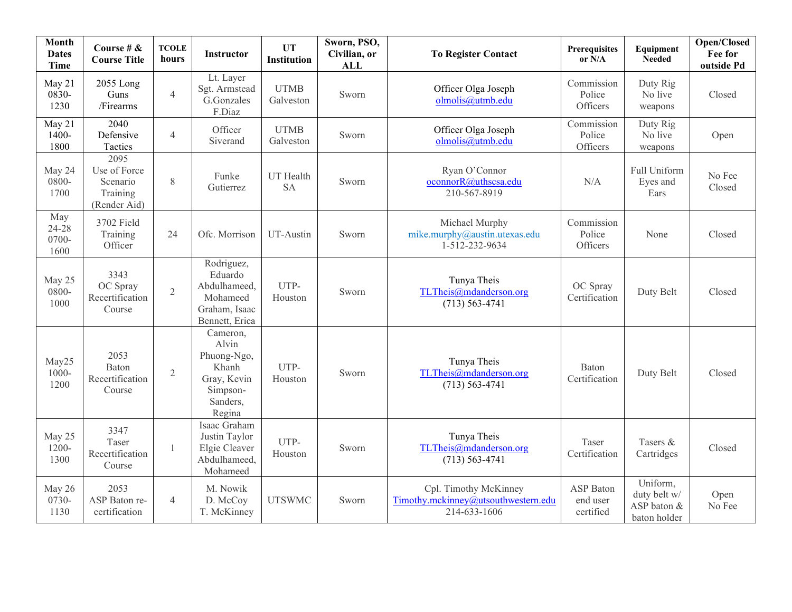| Month<br><b>Dates</b><br>Time | Course # &<br><b>Course Title</b>                            | <b>TCOLE</b><br>hours | <b>Instructor</b>                                                                          | <b>UT</b><br><b>Institution</b> | Sworn, PSO,<br>Civilian, or<br><b>ALL</b> | <b>To Register Contact</b>                                                   | <b>Prerequisites</b><br>or $N/A$   | Equipment<br><b>Needed</b>                              | Open/Closed<br>Fee for<br>outside Pd |
|-------------------------------|--------------------------------------------------------------|-----------------------|--------------------------------------------------------------------------------------------|---------------------------------|-------------------------------------------|------------------------------------------------------------------------------|------------------------------------|---------------------------------------------------------|--------------------------------------|
| May 21<br>0830-<br>1230       | 2055 Long<br>Guns<br>/Firearms                               | $\overline{4}$        | Lt. Layer<br>Sgt. Armstead<br>G.Gonzales<br>F.Diaz                                         | <b>UTMB</b><br>Galveston        | Sworn                                     | Officer Olga Joseph<br>olmolis@utmb.edu                                      | Commission<br>Police<br>Officers   | Duty Rig<br>No live<br>weapons                          | Closed                               |
| May 21<br>1400-<br>1800       | 2040<br>Defensive<br>Tactics                                 | $\overline{4}$        | Officer<br>Siverand                                                                        | <b>UTMB</b><br>Galveston        | Sworn                                     | Officer Olga Joseph<br>olmolis@utmb.edu                                      | Commission<br>Police<br>Officers   | Duty Rig<br>No live<br>weapons                          | Open                                 |
| May 24<br>0800-<br>1700       | 2095<br>Use of Force<br>Scenario<br>Training<br>(Render Aid) | 8                     | Funke<br>Gutierrez                                                                         | UT Health<br><b>SA</b>          | Sworn                                     | Ryan O'Connor<br>oconnorR@uthscsa.edu<br>210-567-8919                        | N/A                                | Full Uniform<br>Eyes and<br>Ears                        | No Fee<br>Closed                     |
| May<br>24-28<br>0700-<br>1600 | 3702 Field<br>Training<br>Officer                            | 24                    | Ofc. Morrison                                                                              | UT-Austin                       | Sworn                                     | Michael Murphy<br>mike.murphy@austin.utexas.edu<br>1-512-232-9634            | Commission<br>Police<br>Officers   | None                                                    | Closed                               |
| May 25<br>0800-<br>1000       | 3343<br>OC Spray<br>Recertification<br>Course                | $\overline{2}$        | Rodriguez,<br>Eduardo<br>Abdulhameed,<br>Mohameed<br>Graham, Isaac<br>Bennett, Erica       | UTP-<br>Houston                 | Sworn                                     | Tunya Theis<br>TLTheis@mdanderson.org<br>$(713) 563 - 4741$                  | OC Spray<br>Certification          | Duty Belt                                               | Closed                               |
| May25<br>$1000 -$<br>1200     | 2053<br>Baton<br>Recertification<br>Course                   | $\overline{2}$        | Cameron,<br>Alvin<br>Phuong-Ngo,<br>Khanh<br>Gray, Kevin<br>Simpson-<br>Sanders,<br>Regina | UTP-<br>Houston                 | Sworn                                     | Tunya Theis<br>TLTheis@mdanderson.org<br>$(713) 563 - 4741$                  | Baton<br>Certification             | Duty Belt                                               | Closed                               |
| May 25<br>$1200 -$<br>1300    | 3347<br>Taser<br>Recertification<br>Course                   | $\mathbf{1}$          | Isaac Graham<br>Justin Taylor<br>Elgie Cleaver<br>Abdulhameed,<br>Mohameed                 | UTP-<br>Houston                 | Sworn                                     | Tunya Theis<br>TLTheis@mdanderson.org<br>$(713) 563 - 4741$                  | Taser<br>Certification             | Tasers &<br>Cartridges                                  | Closed                               |
| May 26<br>0730-<br>1130       | 2053<br>ASP Baton re-<br>certification                       | $\overline{4}$        | M. Nowik<br>D. McCoy<br>T. McKinney                                                        | <b>UTSWMC</b>                   | Sworn                                     | Cpl. Timothy McKinney<br>Timothy.mckinney@utsouthwestern.edu<br>214-633-1606 | ASP Baton<br>end user<br>certified | Uniform,<br>duty belt w/<br>ASP baton &<br>baton holder | Open<br>No Fee                       |